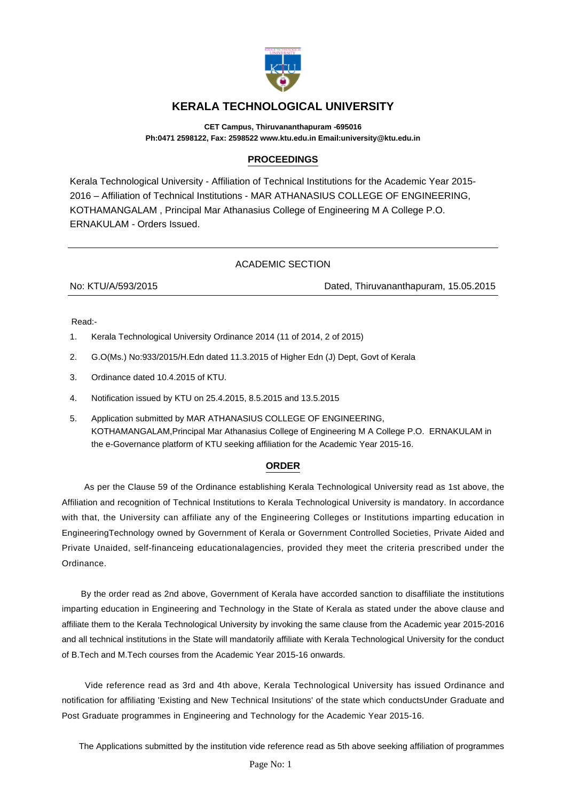

## **KERALA TECHNOLOGICAL UNIVERSITY**

**CET Campus, Thiruvananthapuram -695016 Ph:0471 2598122, Fax: 2598522 www.ktu.edu.in Email:university@ktu.edu.in**

## **PROCEEDINGS**

Kerala Technological University - Affiliation of Technical Institutions for the Academic Year 2015- 2016 – Affiliation of Technical Institutions - MAR ATHANASIUS COLLEGE OF ENGINEERING, KOTHAMANGALAM , Principal Mar Athanasius College of Engineering M A College P.O. ERNAKULAM - Orders Issued.

## ACADEMIC SECTION

No: KTU/A/593/2015 Dated, Thiruvananthapuram, 15.05.2015

Read:-

- 1. Kerala Technological University Ordinance 2014 (11 of 2014, 2 of 2015)
- 2. G.O(Ms.) No:933/2015/H.Edn dated 11.3.2015 of Higher Edn (J) Dept, Govt of Kerala
- 3. Ordinance dated 10.4.2015 of KTU.
- 4. Notification issued by KTU on 25.4.2015, 8.5.2015 and 13.5.2015
- 5. Application submitted by MAR ATHANASIUS COLLEGE OF ENGINEERING, KOTHAMANGALAM,Principal Mar Athanasius College of Engineering M A College P.O. ERNAKULAM in the e-Governance platform of KTU seeking affiliation for the Academic Year 2015-16.

## **ORDER**

 As per the Clause 59 of the Ordinance establishing Kerala Technological University read as 1st above, the Affiliation and recognition of Technical Institutions to Kerala Technological University is mandatory. In accordance with that, the University can affiliate any of the Engineering Colleges or Institutions imparting education in EngineeringTechnology owned by Government of Kerala or Government Controlled Societies, Private Aided and Private Unaided, self-financeing educationalagencies, provided they meet the criteria prescribed under the Ordinance.

 By the order read as 2nd above, Government of Kerala have accorded sanction to disaffiliate the institutions imparting education in Engineering and Technology in the State of Kerala as stated under the above clause and affiliate them to the Kerala Technological University by invoking the same clause from the Academic year 2015-2016 and all technical institutions in the State will mandatorily affiliate with Kerala Technological University for the conduct of B.Tech and M.Tech courses from the Academic Year 2015-16 onwards.

 Vide reference read as 3rd and 4th above, Kerala Technological University has issued Ordinance and notification for affiliating 'Existing and New Technical Insitutions' of the state which conductsUnder Graduate and Post Graduate programmes in Engineering and Technology for the Academic Year 2015-16.

The Applications submitted by the institution vide reference read as 5th above seeking affiliation of programmes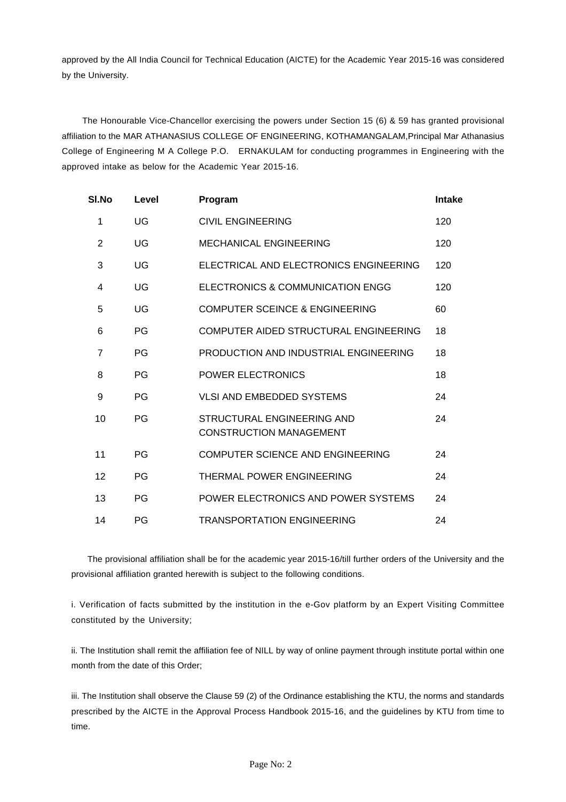approved by the All India Council for Technical Education (AICTE) for the Academic Year 2015-16 was considered by the University.

 The Honourable Vice-Chancellor exercising the powers under Section 15 (6) & 59 has granted provisional affiliation to the MAR ATHANASIUS COLLEGE OF ENGINEERING, KOTHAMANGALAM,Principal Mar Athanasius College of Engineering M A College P.O. ERNAKULAM for conducting programmes in Engineering with the approved intake as below for the Academic Year 2015-16.

| SI.No          | Level | Program                                                      | <b>Intake</b> |
|----------------|-------|--------------------------------------------------------------|---------------|
| 1              | UG    | <b>CIVIL ENGINEERING</b>                                     | 120           |
| 2              | UG    | <b>MECHANICAL ENGINEERING</b>                                | 120           |
| 3              | UG    | ELECTRICAL AND ELECTRONICS ENGINEERING                       | 120           |
| 4              | UG    | ELECTRONICS & COMMUNICATION ENGG                             | 120           |
| 5              | UG    | COMPUTER SCEINCE & ENGINEERING                               | 60            |
| 6              | PG    | COMPUTER AIDED STRUCTURAL ENGINEERING                        | 18            |
| $\overline{7}$ | PG    | PRODUCTION AND INDUSTRIAL ENGINEERING                        | 18            |
| 8              | PG    | <b>POWER ELECTRONICS</b>                                     | 18            |
| 9              | PG    | <b>VLSI AND EMBEDDED SYSTEMS</b>                             | 24            |
| 10             | PG    | STRUCTURAL ENGINEERING AND<br><b>CONSTRUCTION MANAGEMENT</b> | 24            |
| 11             | PG    | <b>COMPUTER SCIENCE AND ENGINEERING</b>                      | 24            |
| 12             | PG    | THERMAL POWER ENGINEERING                                    | 24            |
| 13             | PG    | POWER ELECTRONICS AND POWER SYSTEMS                          | 24            |
| 14             | PG    | <b>TRANSPORTATION ENGINEERING</b>                            | 24            |

 The provisional affiliation shall be for the academic year 2015-16/till further orders of the University and the provisional affiliation granted herewith is subject to the following conditions.

i. Verification of facts submitted by the institution in the e-Gov platform by an Expert Visiting Committee constituted by the University;

ii. The Institution shall remit the affiliation fee of NILL by way of online payment through institute portal within one month from the date of this Order;

iii. The Institution shall observe the Clause 59 (2) of the Ordinance establishing the KTU, the norms and standards prescribed by the AICTE in the Approval Process Handbook 2015-16, and the guidelines by KTU from time to time.